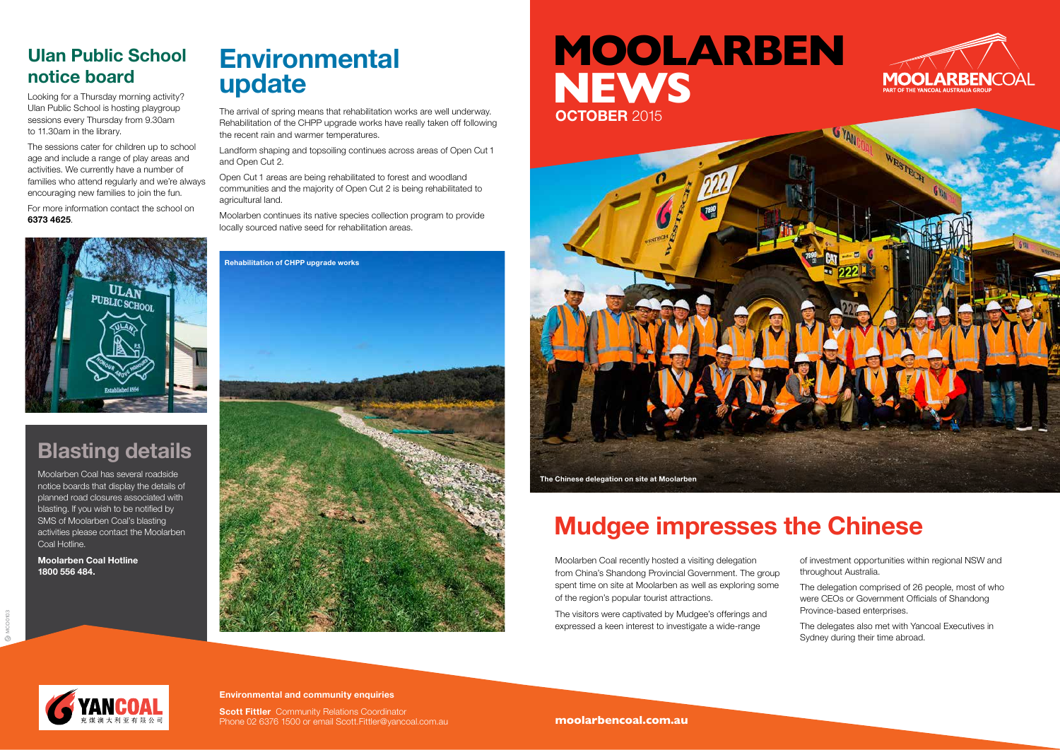

Moolarben Coal recently hosted a visiting delegation from China's Shandong Provincial Government. The group spent time on site at Moolarben as well as exploring some of the region's popular tourist attractions.

The visitors were captivated by Mudgee's offerings and expressed a keen interest to investigate a wide-range

# **Environmental update**

The arrival of spring means that rehabilitation works are well underway. Rehabilitation of the CHPP upgrade works have really taken off following the recent rain and warmer temperatures.

Landform shaping and topsoiling continues across areas of Open Cut 1 and Open Cut 2.

Open Cut 1 areas are being rehabilitated to forest and woodland communities and the majority of Open Cut 2 is being rehabilitated to agricultural land.

Moolarben continues its native species collection program to provide locally sourced native seed for rehabilitation areas.



## **Blasting details**

Moolarben Coal has several roadside notice boards that display the details of planned road closures associated with blasting. If you wish to be notified by SMS of Moolarben Coal's blasting activities please contact the Moolarben Coal Hotline.

> **Scott Fittler** Community Relations Coordinator Phone 02 6376 1500 or email Scott.Fittler@yancoal.com.au

**Moolarben Coal Hotline 1800 556 484.**



# **Mudgee impresses the Chinese**

of investment opportunities within regional NSW and throughout Australia.

The delegation comprised of 26 people, most of who were CEOs or Government Officials of Shandong Province-based enterprises.

The delegates also met with Yancoal Executives in Sydney during their time abroad.

### **Ulan Public School notice board**

Looking for a Thursday morning activity? Ulan Public School is hosting playgroup sessions every Thursday from 9.30am to 11.30am in the library.

The sessions cater for children up to school age and include a range of play areas and activities. We currently have a number of families who attend regularly and we're always encouraging new families to join the fun.

For more information contact the school on **6373 4625**.



#### **Environmental and community enquiries**

**moolarbencoal.com.au**





# **MOOLARBEN NEWS OCTOBER** 2015